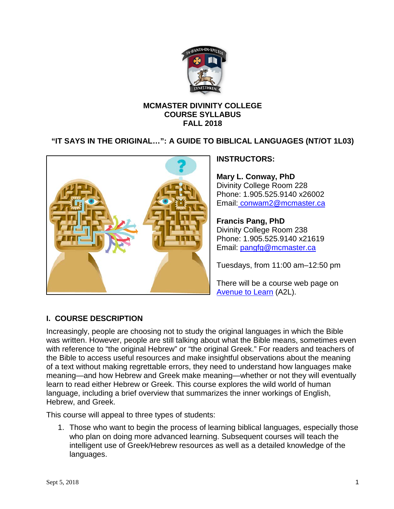

### **MCMASTER DIVINITY COLLEGE COURSE SYLLABUS FALL 2018**

## **"IT SAYS IN THE ORIGINAL…": A GUIDE TO BIBLICAL LANGUAGES (NT/OT 1L03)**



## **INSTRUCTORS:**

**Mary L. Conway, PhD** Divinity College Room 228 Phone: 1.905.525.9140 x26002 Email: [conwam2@mcmaster.ca](mailto:conwam2@mcmaster.ca)

**Francis Pang, PhD**  Divinity College Room 238 Phone: 1.905.525.9140 x21619 Email: [pangfg@mcmaster.ca](mailto:pangfg@mcmaster.ca)

Tuesdays, from 11:00 am–12:50 pm

There will be a course web page on [Avenue to Learn](http://avenue.mcmaster.ca/) (A2L).

## **I. COURSE DESCRIPTION**

Increasingly, people are choosing not to study the original languages in which the Bible was written. However, people are still talking about what the Bible means, sometimes even with reference to "the original Hebrew" or "the original Greek." For readers and teachers of the Bible to access useful resources and make insightful observations about the meaning of a text without making regrettable errors, they need to understand how languages make meaning—and how Hebrew and Greek make meaning—whether or not they will eventually learn to read either Hebrew or Greek. This course explores the wild world of human language, including a brief overview that summarizes the inner workings of English, Hebrew, and Greek.

This course will appeal to three types of students:

1. Those who want to begin the process of learning biblical languages, especially those who plan on doing more advanced learning. Subsequent courses will teach the intelligent use of Greek/Hebrew resources as well as a detailed knowledge of the languages.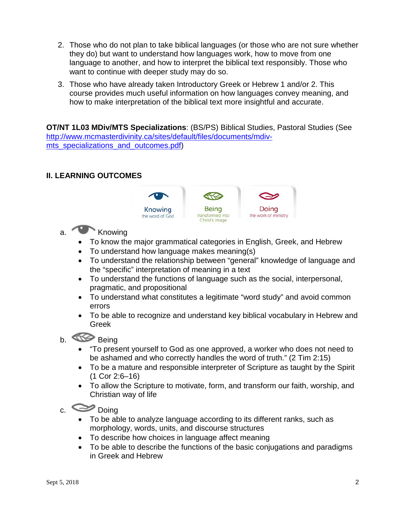- 2. Those who do not plan to take biblical languages (or those who are not sure whether they do) but want to understand how languages work, how to move from one language to another, and how to interpret the biblical text responsibly. Those who want to continue with deeper study may do so.
- 3. Those who have already taken Introductory Greek or Hebrew 1 and/or 2. This course provides much useful information on how languages convey meaning, and how to make interpretation of the biblical text more insightful and accurate.

**OT/NT 1L03 MDiv/MTS Specializations**: (BS/PS) Biblical Studies, Pastoral Studies (See [http://www.mcmasterdivinity.ca/sites/default/files/documents/mdiv](http://www.mcmasterdivinity.ca/sites/default/files/documents/mdiv-mts_specializations_and_outcomes.pdf)[mts\\_specializations\\_and\\_outcomes.pdf\)](http://www.mcmasterdivinity.ca/sites/default/files/documents/mdiv-mts_specializations_and_outcomes.pdf)

#### **II. LEARNING OUTCOMES**



- a. Knowing
	- To know the major grammatical categories in English, Greek, and Hebrew
	- To understand how language makes meaning(s)
	- To understand the relationship between "general" knowledge of language and the "specific" interpretation of meaning in a text
	- To understand the functions of language such as the social, interpersonal, pragmatic, and propositional
	- To understand what constitutes a legitimate "word study" and avoid common errors
	- To be able to recognize and understand key biblical vocabulary in Hebrew and Greek

# b. Being

- "To present yourself to God as one approved, a worker who does not need to be ashamed and who correctly handles the word of truth." (2 Tim 2:15)
- To be a mature and responsible interpreter of Scripture as taught by the Spirit (1 Cor 2:6–16)
- To allow the Scripture to motivate, form, and transform our faith, worship, and Christian way of life

c. Doing

- To be able to analyze language according to its different ranks, such as morphology, words, units, and discourse structures
- To describe how choices in language affect meaning
- To be able to describe the functions of the basic conjugations and paradigms in Greek and Hebrew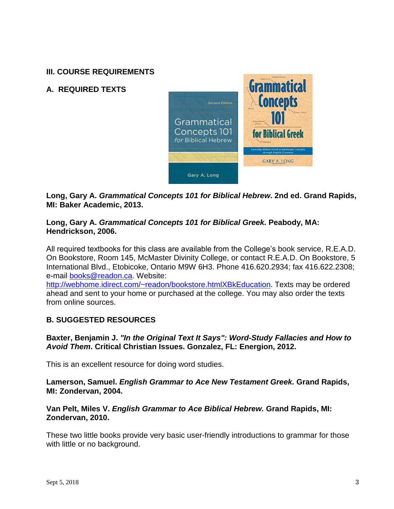## **III. COURSE REQUIREMENTS**

## **A. REQUIRED TEXTS**



**Long, Gary A.** *Grammatical Concepts 101 for Biblical Hebrew***. 2nd ed. Grand Rapids, MI: Baker Academic, 2013.**

#### **Long, Gary A.** *Grammatical Concepts 101 for Biblical Greek.* **Peabody, MA: Hendrickson, 2006.**

All required textbooks for this class are available from the College's book service, R.E.A.D. On Bookstore, Room 145, McMaster Divinity College, or contact R.E.A.D. On Bookstore, 5 International Blvd., Etobicoke, Ontario M9W 6H3. Phone 416.620.2934; fax 416.622.2308; e-mail [books@readon.ca.](mailto:books@readon.ca) Website:

[http://webhome.idirect.com/~readon/bookstore.htmlXBkEducation.](http://webhome.idirect.com/%7Ereadon/bookstore.html#BkEducation) Texts may be ordered ahead and sent to your home or purchased at the college. You may also order the texts from online sources.

### **B. SUGGESTED RESOURCES**

**Baxter, Benjamin J.** *"In the Original Text It Says": Word-Study Fallacies and How to Avoid Them***. Critical Christian Issues. Gonzalez, FL: Energion, 2012.**

This is an excellent resource for doing word studies.

**Lamerson, Samuel.** *English Grammar to Ace New Testament Greek.* **Grand Rapids, MI: Zondervan, 2004.**

**Van Pelt, Miles V.** *English Grammar to Ace Biblical Hebrew.* **Grand Rapids, MI: Zondervan, 2010.**

These two little books provide very basic user-friendly introductions to grammar for those with little or no background.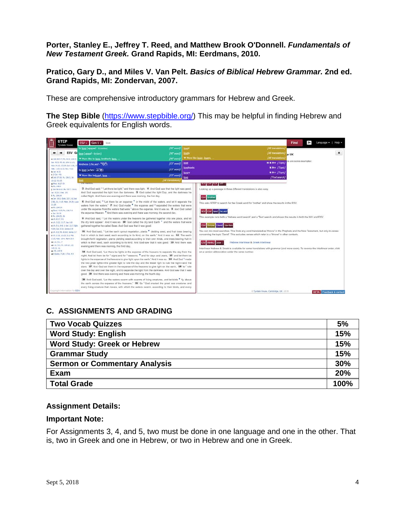**Porter, Stanley E., Jeffrey T. Reed, and Matthew Brook O'Donnell.** *Fundamentals of New Testament Greek.* **Grand Rapids, MI: Eerdmans, 2010.**

**Pratico, Gary D., and Miles V. Van Pelt.** *Basics of Biblical Hebrew Grammar.* **2nd ed. Grand Rapids, MI: Zondervan, 2007.**

These are comprehensive introductory grammars for Hebrew and Greek.

**The Step Bible** [\(https://www.stepbible.org/\)](https://www.stepbible.org/) This may be helpful in finding Hebrew and Greek equivalents for English words.

| STEP<br><b>Vindale House</b>                                                                                                                                                                                                                                                                                                                                                                                                                                                                                            | $ESV \times$ Gen $1 \times$<br>love                                                                                                                                                                                                                                                                                                                                                                                                                                                                                                                                                                                                                                                                                                                                                                                                                                                                                                                                                                                                                                                                                                                                                                                                                                                                                                                                                                                                                                                                                                                                                                                                                                                                                                                                                                                                                                                                                                                                                                                                                                                                                                                                                                                                                                                                                                                                                                                                                                                                                                        |                                                          |                                                                                                               |                                                                                                                                                                                                                                                                                                                                                                                                                                                                                                                                                                                                                                                                                                                                                                  | Find  | $ + $ | Language =   Help =            |  |
|-------------------------------------------------------------------------------------------------------------------------------------------------------------------------------------------------------------------------------------------------------------------------------------------------------------------------------------------------------------------------------------------------------------------------------------------------------------------------------------------------------------------------|--------------------------------------------------------------------------------------------------------------------------------------------------------------------------------------------------------------------------------------------------------------------------------------------------------------------------------------------------------------------------------------------------------------------------------------------------------------------------------------------------------------------------------------------------------------------------------------------------------------------------------------------------------------------------------------------------------------------------------------------------------------------------------------------------------------------------------------------------------------------------------------------------------------------------------------------------------------------------------------------------------------------------------------------------------------------------------------------------------------------------------------------------------------------------------------------------------------------------------------------------------------------------------------------------------------------------------------------------------------------------------------------------------------------------------------------------------------------------------------------------------------------------------------------------------------------------------------------------------------------------------------------------------------------------------------------------------------------------------------------------------------------------------------------------------------------------------------------------------------------------------------------------------------------------------------------------------------------------------------------------------------------------------------------------------------------------------------------------------------------------------------------------------------------------------------------------------------------------------------------------------------------------------------------------------------------------------------------------------------------------------------------------------------------------------------------------------------------------------------------------------------------------------------------|----------------------------------------------------------|---------------------------------------------------------------------------------------------------------------|------------------------------------------------------------------------------------------------------------------------------------------------------------------------------------------------------------------------------------------------------------------------------------------------------------------------------------------------------------------------------------------------------------------------------------------------------------------------------------------------------------------------------------------------------------------------------------------------------------------------------------------------------------------------------------------------------------------------------------------------------------------|-------|-------|--------------------------------|--|
| al 366 38:4-7; Ps. 32:6; 136:5.                                                                                                                                                                                                                                                                                                                                                                                                                                                                                         | to love (agapao - ayanam)<br>ESV GC love (agapé - úyúxn)<br>* More like to love, brotherly love,                                                                                                                                                                                                                                                                                                                                                                                                                                                                                                                                                                                                                                                                                                                                                                                                                                                                                                                                                                                                                                                                                                                                                                                                                                                                                                                                                                                                                                                                                                                                                                                                                                                                                                                                                                                                                                                                                                                                                                                                                                                                                                                                                                                                                                                                                                                                                                                                                                           | (NT word)<br>[NT word]<br><b>INT</b> word                | oved<br><b>Dycely</b><br>More like lover, lovers,                                                             | <b>JAI</b> translations.<br>[All translations]<br>[All translations                                                                                                                                                                                                                                                                                                                                                                                                                                                                                                                                                                                                                                                                                              | te UK |       |                                |  |
| Sa. 42-5: 45:18: 3shr 1:1-3:<br>Arts 14:15: 17:24: Col. 1:16.<br>Heb. 1/10) 11/3; Rev. 4/11<br>d 3sb 37:18; Ps. 136:5; Jer.                                                                                                                                                                                                                                                                                                                                                                                             | kindness (che.sed - TOIT)<br>to love (a hev - 27%)<br>More like beloved, love,                                                                                                                                                                                                                                                                                                                                                                                                                                                                                                                                                                                                                                                                                                                                                                                                                                                                                                                                                                                                                                                                                                                                                                                                                                                                                                                                                                                                                                                                                                                                                                                                                                                                                                                                                                                                                                                                                                                                                                                                                                                                                                                                                                                                                                                                                                                                                                                                                                                             | [OT word]<br>[OT word]<br>[OT word]<br>[All translations | love<br>lovefeasts<br>lovers<br>love                                                                          | re are some examples<br>$H N + fT$ opic)<br>$N + f$ Topic)<br>$N N + [Toobc]$<br>[Text search]                                                                                                                                                                                                                                                                                                                                                                                                                                                                                                                                                                                                                                                                   |       |       |                                |  |
| g Prov. 8:27-29<br>116 38 8-11; Ps. 33 7; 136 6;<br>Jer. 5:22: 2 Pet. 3:5<br>a Jan. 10:2: Enck. 32:2, 8: 3pdf.<br>2:30, 31: 3:15: Matt. 24:20: Luke<br><b>q. Dout. 4:10: Ps. 136:7-9</b><br>E PA. 104:25.26<br><b># (f) を17: 9:1</b><br>v ch. 2:22: 11:7: Isa, 6:8<br>x ch. 5:1: 9:5: 1 Cor. 11:7: Eph.<br>4:24: Col. 3:10: James 3:9<br>v ch. 9.2; Ps. 8:6-8; James 3:7<br>z ch. 2:38, 21-23; 5:2: Mal.<br>2:15; Natt. 19:4; Nark 10:6<br>as (h. 9.1.7)<br>ab ch, 9:3; Ps, 104:14, 15;<br>ad Eccles. 7:29: 1 Tim. 4:4. | 3 And God said, <sup>c .</sup> 'Let there be light," and there was light, 4 And God saw that the light was good.<br>And God separated the light from the darkness. 5 God called the light Day, and the darkness he<br>called Night. And there was evening and there was morning, the first day.<br>6 And God said, <sup>d</sup> 'Let there be an expanse <sup>*</sup> in the midst of the waters, and let it separate the<br>waters from the waters." 7 And God made * the expanse and 9 separated the waters that were<br>under the expanse from the waters that were " above the expanse. And it was so. 8 And God called<br>the expanse Heaven. * And there was evening and there was morning, the second day,<br>9 And God said, <sup>I</sup> "Let the waters under the heavens be gathered together into one place, and let<br>the dry land appear." And it was so. 10 God called the dry land Earth * and the waters that were<br>gathered together he called Seas. And God saw that it was good.<br>11 And God said. <sup>1</sup> Let the earth sprout vegetation, plants * vielding seed, and fruit trees bearing<br>fruit in which is their seed, each according to its kind, on the earth." And it was so. 12 The earth<br>brought forth vegetation, plants yielding seed according to their own kinds, and trees bearing fruit in<br>which is their seed, each according to its kind. And God saw that it was good. 13 And there was<br>evening and there was morning, the third day.<br>14 And God said, "Let there be lights in the expanse of the heavens to separate the day from the<br>night. And let them be for " signs and for " seasons, " and for days and years, 15 and let them be<br>lights in the expanse of the heavens to give light upon the earth." And it was so. 16 And God 9 made<br>the two great lights--the greater light to rule the day and the lesser light to rule the night-and the<br>stars. 17 And God set them in the expanse of the heavens to give light on the earth, 18 to ' rule<br>over the day and over the night, and to separate the light from the darkness. And God saw that it was<br>good. 19 And there was evening and there was morning, the fourth day.<br>20 And God said. "Let the waters swarm with swarms of living creatures, and let birds * fiv above<br>the earth across the expanse of the heavens." 21 So <sup>7</sup> God created the great sea creatures and<br>every living creature that moves, with which the waters swarm, according to their kinds, and every |                                                          | MIA FOA TYA TOGUT<br><b>ESV</b> brother<br>NIV ESV land he sed<br>ESV throne David Isa-Rev<br>KJV WHNU John 1 | Looking up a passage in three different translations is also easy.<br>This asks STEP to search for the Greek word for 'brother' and show the results in the ESV.<br>This example runs both a 'Hebrew word search' and a 'Text' search and shows the results in both the NIV and ESV.<br>You can mix most searches. This finds any word translated as 'throne' in the Prophets and the New Testament, but only in verses<br>concerning the topic 'David'. This excludes verses which refer to a 'throne' in other contexts.<br>Hebrew interlinear & Greek interlinear<br>Interlinear Hebrew & Greek is available for some translations with grammar (and more soon). To reverse the interlinear order, click<br>on a version abbreviation under the verse number. |       |       |                                |  |
| Copyright information for ESV                                                                                                                                                                                                                                                                                                                                                                                                                                                                                           |                                                                                                                                                                                                                                                                                                                                                                                                                                                                                                                                                                                                                                                                                                                                                                                                                                                                                                                                                                                                                                                                                                                                                                                                                                                                                                                                                                                                                                                                                                                                                                                                                                                                                                                                                                                                                                                                                                                                                                                                                                                                                                                                                                                                                                                                                                                                                                                                                                                                                                                                            |                                                          |                                                                                                               | C Tyndale House, Cambridge, UK - 2015                                                                                                                                                                                                                                                                                                                                                                                                                                                                                                                                                                                                                                                                                                                            |       |       | <b>BETA</b> Feedback & contact |  |

### **C. ASSIGNMENTS AND GRADING**

| <b>Two Vocab Quizzes</b>             | 5%   |
|--------------------------------------|------|
| <b>Word Study: English</b>           | 15%  |
| <b>Word Study: Greek or Hebrew</b>   | 15%  |
| <b>Grammar Study</b>                 | 15%  |
| <b>Sermon or Commentary Analysis</b> | 30%  |
| <b>Exam</b>                          | 20%  |
| <b>Total Grade</b>                   | 100% |

#### **Assignment Details:**

#### **Important Note:**

For Assignments 3, 4, and 5, two must be done in one language and one in the other. That is, two in Greek and one in Hebrew, or two in Hebrew and one in Greek.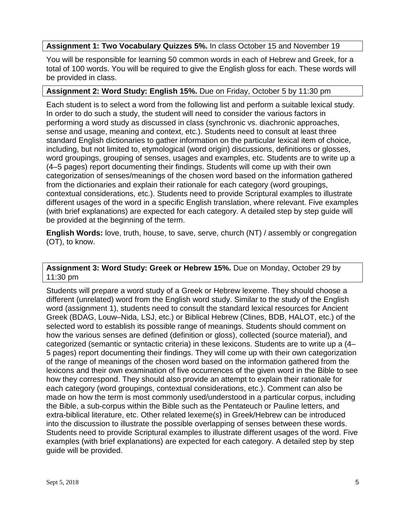#### **Assignment 1: Two Vocabulary Quizzes 5%.** In class October 15 and November 19

You will be responsible for learning 50 common words in each of Hebrew and Greek, for a total of 100 words. You will be required to give the English gloss for each. These words will be provided in class.

#### **Assignment 2: Word Study: English 15%.** Due on Friday, October 5 by 11:30 pm

Each student is to select a word from the following list and perform a suitable lexical study. In order to do such a study, the student will need to consider the various factors in performing a word study as discussed in class (synchronic vs. diachronic approaches, sense and usage, meaning and context, etc.). Students need to consult at least three standard English dictionaries to gather information on the particular lexical item of choice, including, but not limited to, etymological (word origin) discussions, definitions or glosses, word groupings, grouping of senses, usages and examples, etc. Students are to write up a (4–5 pages) report documenting their findings. Students will come up with their own categorization of senses/meanings of the chosen word based on the information gathered from the dictionaries and explain their rationale for each category (word groupings, contextual considerations, etc.). Students need to provide Scriptural examples to illustrate different usages of the word in a specific English translation, where relevant. Five examples (with brief explanations) are expected for each category. A detailed step by step guide will be provided at the beginning of the term.

**English Words:** love, truth, house, to save, serve, church (NT) / assembly or congregation (OT), to know.

#### **Assignment 3: Word Study: Greek or Hebrew 15%.** Due on Monday, October 29 by 11:30 pm

Students will prepare a word study of a Greek or Hebrew lexeme. They should choose a different (unrelated) word from the English word study. Similar to the study of the English word (assignment 1), students need to consult the standard lexical resources for Ancient Greek (BDAG, Louw–Nida, LSJ, etc.) or Biblical Hebrew (Clines, BDB, HALOT, etc.) of the selected word to establish its possible range of meanings. Students should comment on how the various senses are defined (definition or gloss), collected (source material), and categorized (semantic or syntactic criteria) in these lexicons. Students are to write up a (4– 5 pages) report documenting their findings. They will come up with their own categorization of the range of meanings of the chosen word based on the information gathered from the lexicons and their own examination of five occurrences of the given word in the Bible to see how they correspond. They should also provide an attempt to explain their rationale for each category (word groupings, contextual considerations, etc.). Comment can also be made on how the term is most commonly used/understood in a particular corpus, including the Bible, a sub-corpus within the Bible such as the Pentateuch or Pauline letters, and extra-biblical literature, etc. Other related lexeme(s) in Greek/Hebrew can be introduced into the discussion to illustrate the possible overlapping of senses between these words. Students need to provide Scriptural examples to illustrate different usages of the word. Five examples (with brief explanations) are expected for each category. A detailed step by step guide will be provided.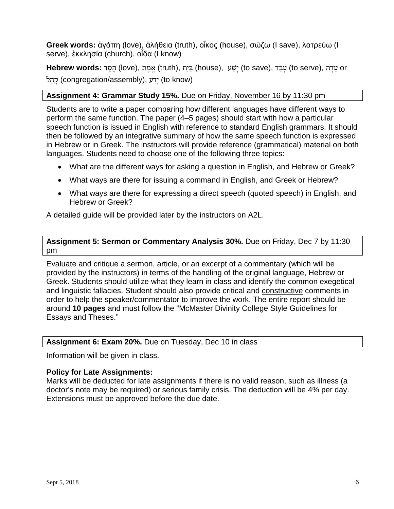**Greek words:** ἀγάπη (love), ἀλήθεια (truth), οἶκος (house), σώζω (I save), λατρεύω (I serve), ἐκκλησία (church), oἶδα (I know)

 or עֵ דָ ה ,(serve to (עָ בַ ד ,(save to (יָ שַׁ ע ,(house (בַּ יִ ת ,(truth (אֱ מֶ ת ,(love (הֶ סֶ ד **:words Hebrew** יֵדַע (congregation/assembly), יַדַע (to know)

#### **Assignment 4: Grammar Study 15%.** Due on Friday, November 16 by 11:30 pm

Students are to write a paper comparing how different languages have different ways to perform the same function. The paper (4–5 pages) should start with how a particular speech function is issued in English with reference to standard English grammars. It should then be followed by an integrative summary of how the same speech function is expressed in Hebrew or in Greek. The instructors will provide reference (grammatical) material on both languages. Students need to choose one of the following three topics:

- What are the different ways for asking a question in English, and Hebrew or Greek?
- What ways are there for issuing a command in English, and Greek or Hebrew?
- What ways are there for expressing a direct speech (quoted speech) in English, and Hebrew or Greek?

A detailed guide will be provided later by the instructors on A2L.

**Assignment 5: Sermon or Commentary Analysis 30%.** Due on Friday, Dec 7 by 11:30 pm

Evaluate and critique a sermon, article, or an excerpt of a commentary (which will be provided by the instructors) in terms of the handling of the original language, Hebrew or Greek. Students should utilize what they learn in class and identify the common exegetical and linguistic fallacies. Student should also provide critical and constructive comments in order to help the speaker/commentator to improve the work. The entire report should be around **10 pages** and must follow the "McMaster Divinity College Style Guidelines for Essays and Theses."

#### **Assignment 6: Exam 20%.** Due on Tuesday, Dec 10 in class

Information will be given in class.

#### **Policy for Late Assignments:**

Marks will be deducted for late assignments if there is no valid reason, such as illness (a doctor's note may be required) or serious family crisis. The deduction will be 4% per day. Extensions must be approved before the due date.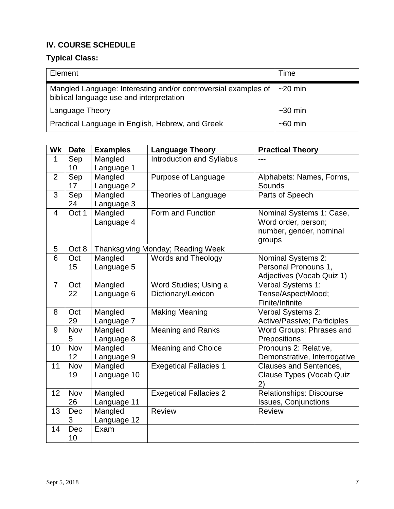# **IV. COURSE SCHEDULE**

# **Typical Class:**

| Element                                                                                                    | Time          |
|------------------------------------------------------------------------------------------------------------|---------------|
| Mangled Language: Interesting and/or controversial examples of<br>biblical language use and interpretation | $\sim$ 20 min |
| <b>Language Theory</b>                                                                                     | $~1$ -30 min  |
| Practical Language in English, Hebrew, and Greek                                                           | $~50$ min     |

| Wk             | <b>Date</b> | <b>Examples</b>       | Language Theory                   | <b>Practical Theory</b>                                       |
|----------------|-------------|-----------------------|-----------------------------------|---------------------------------------------------------------|
| 1              | Sep         | Mangled               | Introduction and Syllabus         |                                                               |
|                | 10          | Language 1            |                                   |                                                               |
| $\overline{2}$ | Sep         | Mangled               | Purpose of Language               | Alphabets: Names, Forms,                                      |
|                | 17          | Language 2            |                                   | Sounds                                                        |
| 3              | Sep         | Mangled               | Theories of Language              | Parts of Speech                                               |
|                | 24          | Language 3            |                                   |                                                               |
| $\overline{4}$ | Oct 1       | Mangled               | Form and Function                 | Nominal Systems 1: Case,                                      |
|                |             | Language 4            |                                   | Word order, person;                                           |
|                |             |                       |                                   | number, gender, nominal                                       |
|                |             |                       |                                   | groups                                                        |
| 5              | Oct 8       |                       | Thanksgiving Monday; Reading Week |                                                               |
| $\overline{6}$ | Oct         | Mangled               | Words and Theology                | Nominal Systems 2:                                            |
|                | 15          | Language 5            |                                   | Personal Pronouns 1,                                          |
|                |             |                       |                                   | Adjectives (Vocab Quiz 1)                                     |
| $\overline{7}$ | Oct         | Mangled               | Word Studies; Using a             | Verbal Systems 1:                                             |
|                | 22          | Language 6            | Dictionary/Lexicon                | Tense/Aspect/Mood;                                            |
|                |             |                       |                                   | Finite/Infinite                                               |
| 8              | Oct         | Mangled               | <b>Making Meaning</b>             | Verbal Systems 2:                                             |
|                | 29          | Language 7            |                                   | Active/Passive; Participles                                   |
| 9              | Nov         | Mangled               | <b>Meaning and Ranks</b>          | Word Groups: Phrases and                                      |
| 10             | 5<br>Nov    | Language 8            |                                   | Prepositions                                                  |
|                | 12          | Mangled               | <b>Meaning and Choice</b>         | Pronouns 2: Relative,                                         |
| 11             | Nov         | Language 9<br>Mangled | <b>Exegetical Fallacies 1</b>     | Demonstrative, Interrogative<br><b>Clauses and Sentences,</b> |
|                | 19          | Language 10           |                                   | Clause Types (Vocab Quiz                                      |
|                |             |                       |                                   | 2)                                                            |
| 12             | Nov         | Mangled               | <b>Exegetical Fallacies 2</b>     | Relationships: Discourse                                      |
|                | 26          | Language 11           |                                   | <b>Issues, Conjunctions</b>                                   |
| 13             | Dec         | Mangled               | <b>Review</b>                     | <b>Review</b>                                                 |
|                | 3           | Language 12           |                                   |                                                               |
| 14             | Dec         | Exam                  |                                   |                                                               |
|                | 10          |                       |                                   |                                                               |
|                |             |                       |                                   |                                                               |